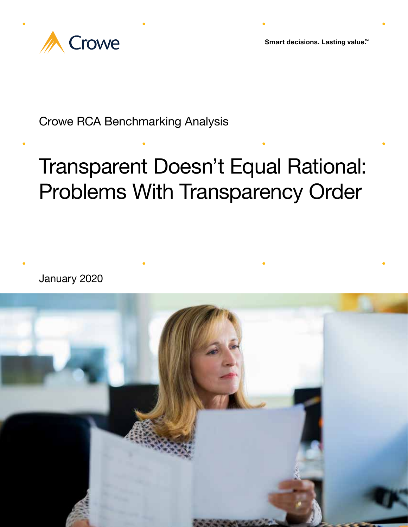

Smart decisions. Lasting value.<sup>™</sup>

Crowe RCA Benchmarking Analysis

# Transparent Doesn't Equal Rational: Problems With Transparency Order

January 2020

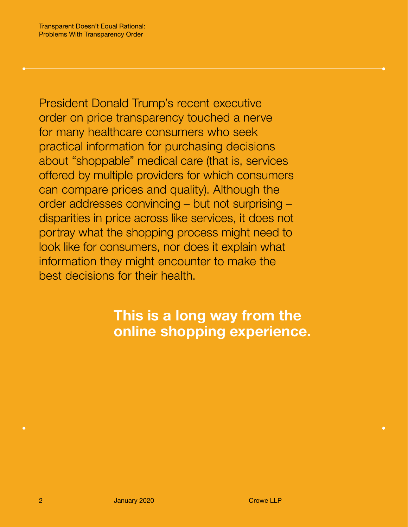President Donald Trump's recent executive order on price transparency touched a nerve for many healthcare consumers who seek practical information for purchasing decisions about "shoppable" medical care (that is, services offered by multiple providers for which consumers can compare prices and quality). Although the order addresses convincing – but not surprising – disparities in price across like services, it does not portray what the shopping process might need to look like for consumers, nor does it explain what information they might encounter to make the best decisions for their health.

## This is a long way from the online shopping experience.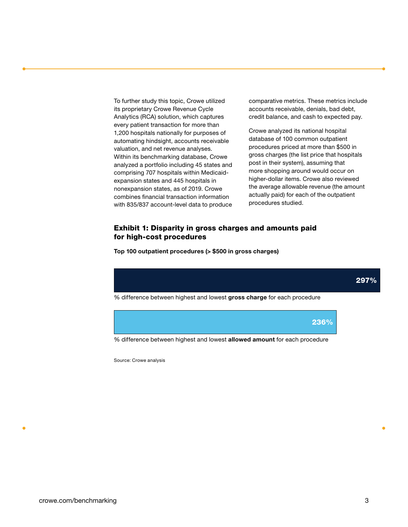To further study this topic, Crowe utilized its proprietary Crowe Revenue Cycle Analytics (RCA) solution, which captures every patient transaction for more than 1,200 hospitals nationally for purposes of automating hindsight, accounts receivable valuation, and net revenue analyses. Within its benchmarking database, Crowe analyzed a portfolio including 45 states and comprising 707 hospitals within Medicaidexpansion states and 445 hospitals in nonexpansion states, as of 2019. Crowe combines financial transaction information with 835/837 account-level data to produce

comparative metrics. These metrics include accounts receivable, denials, bad debt, credit balance, and cash to expected pay.

Crowe analyzed its national hospital database of 100 common outpatient procedures priced at more than \$500 in gross charges (the list price that hospitals post in their system), assuming that more shopping around would occur on higher-dollar items. Crowe also reviewed the average allowable revenue (the amount actually paid) for each of the outpatient procedures studied.

#### Exhibit 1: Disparity in gross charges and amounts paid for high-cost procedures

Top 100 outpatient procedures (> \$500 in gross charges)



% difference between highest and lowest allowed amount for each procedure

Source: Crowe analysis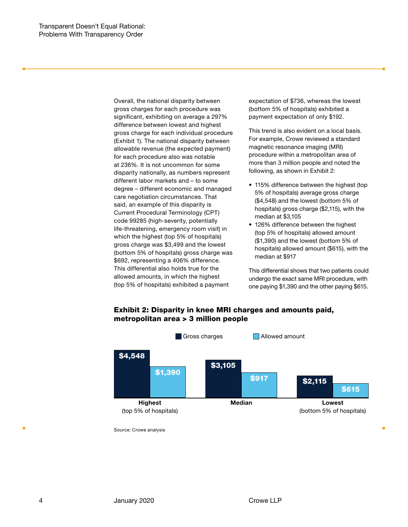Overall, the national disparity between gross charges for each procedure was significant, exhibiting on average a 297% difference between lowest and highest gross charge for each individual procedure (Exhibit 1). The national disparity between allowable revenue (the expected payment) for each procedure also was notable at 236%. It is not uncommon for some disparity nationally, as numbers represent different labor markets and – to some degree – different economic and managed care negotiation circumstances. That said, an example of this disparity is Current Procedural Terminology (CPT) code 99285 (high-severity, potentially life-threatening, emergency room visit) in which the highest (top 5% of hospitals) gross charge was \$3,499 and the lowest (bottom 5% of hospitals) gross charge was \$692, representing a 406% difference. This differential also holds true for the allowed amounts, in which the highest (top 5% of hospitals) exhibited a payment

expectation of \$736, whereas the lowest (bottom 5% of hospitals) exhibited a payment expectation of only \$192.

This trend is also evident on a local basis. For example, Crowe reviewed a standard magnetic resonance imaging (MRI) procedure within a metropolitan area of more than 3 million people and noted the following, as shown in Exhibit 2:

- 115% difference between the highest (top 5% of hospitals) average gross charge (\$4,548) and the lowest (bottom 5% of hospitals) gross charge (\$2,115), with the median at \$3,105
- 126% difference between the highest (top 5% of hospitals) allowed amount (\$1,390) and the lowest (bottom 5% of hospitals) allowed amount (\$615), with the median at \$917

This differential shows that two patients could undergo the exact same MRI procedure, with one paying \$1,390 and the other paying \$615.



#### Exhibit 2: Disparity in knee MRI charges and amounts paid, metropolitan area > 3 million people

Source: Crowe analysis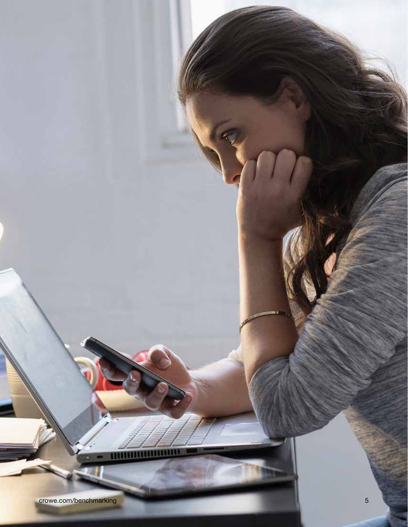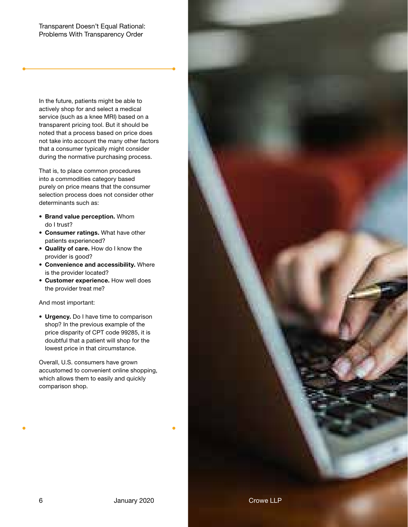In the future, patients might be able to actively shop for and select a medical service (such as a knee MRI) based on a transparent pricing tool. But it should be noted that a process based on price does not take into account the many other factors that a consumer typically might consider during the normative purchasing process.

That is, to place common procedures into a commodities category based purely on price means that the consumer selection process does not consider other determinants such as:

- Brand value perception. Whom do I trust?
- Consumer ratings. What have other patients experienced?
- Quality of care. How do I know the provider is good?
- Convenience and accessibility. Where is the provider located?
- Customer experience. How well does the provider treat me?

And most important:

• Urgency. Do I have time to comparison shop? In the previous example of the price disparity of CPT code 99285, it is doubtful that a patient will shop for the lowest price in that circumstance.

Overall, U.S. consumers have grown accustomed to convenient online shopping, which allows them to easily and quickly comparison shop.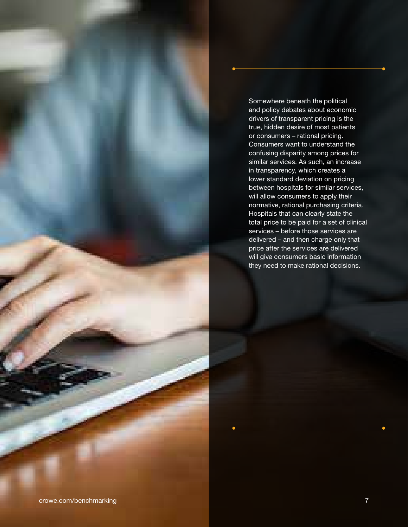Somewhere beneath the political and policy debates about economic drivers of transparent pricing is the true, hidden desire of most patients or consumers – rational pricing. Consumers want to understand the confusing disparity among prices for similar services. As such, an increase in transparency, which creates a lower standard deviation on pricing between hospitals for similar services, will allow consumers to apply their normative, rational purchasing criteria. Hospitals that can clearly state the total price to be paid for a set of clinical services – before those services are delivered – and then charge only that price after the services are delivered will give consumers basic information they need to make rational decisions.